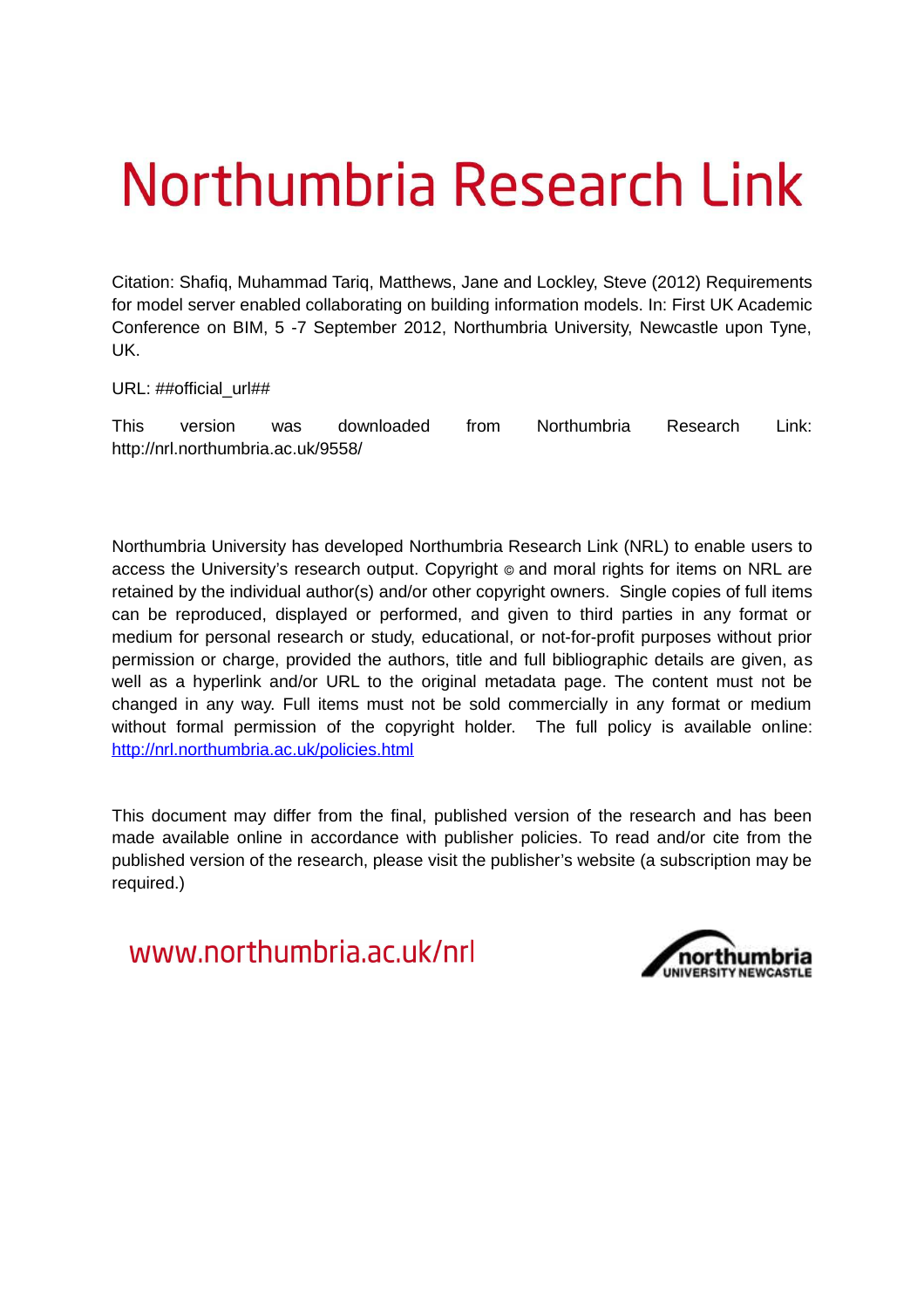# Northumbria Research Link

Citation: Shafiq, Muhammad Tariq, Matthews, Jane and Lockley, Steve (2012) Requirements for model server enabled collaborating on building information models. In: First UK Academic Conference on BIM, 5 -7 September 2012, Northumbria University, Newcastle upon Tyne, UK.

URL: ##official\_url##

This version was downloaded from Northumbria Research Link: http://nrl.northumbria.ac.uk/9558/

Northumbria University has developed Northumbria Research Link (NRL) to enable users to access the University's research output. Copyright  $\circ$  and moral rights for items on NRL are retained by the individual author(s) and/or other copyright owners. Single copies of full items can be reproduced, displayed or performed, and given to third parties in any format or medium for personal research or study, educational, or not-for-profit purposes without prior permission or charge, provided the authors, title and full bibliographic details are given, as well as a hyperlink and/or URL to the original metadata page. The content must not be changed in any way. Full items must not be sold commercially in any format or medium without formal permission of the copyright holder. The full policy is available online: <http://nrl.northumbria.ac.uk/policies.html>

This document may differ from the final, published version of the research and has been made available online in accordance with publisher policies. To read and/or cite from the published version of the research, please visit the publisher's website (a subscription may be required.)

www.northumbria.ac.uk/nrl

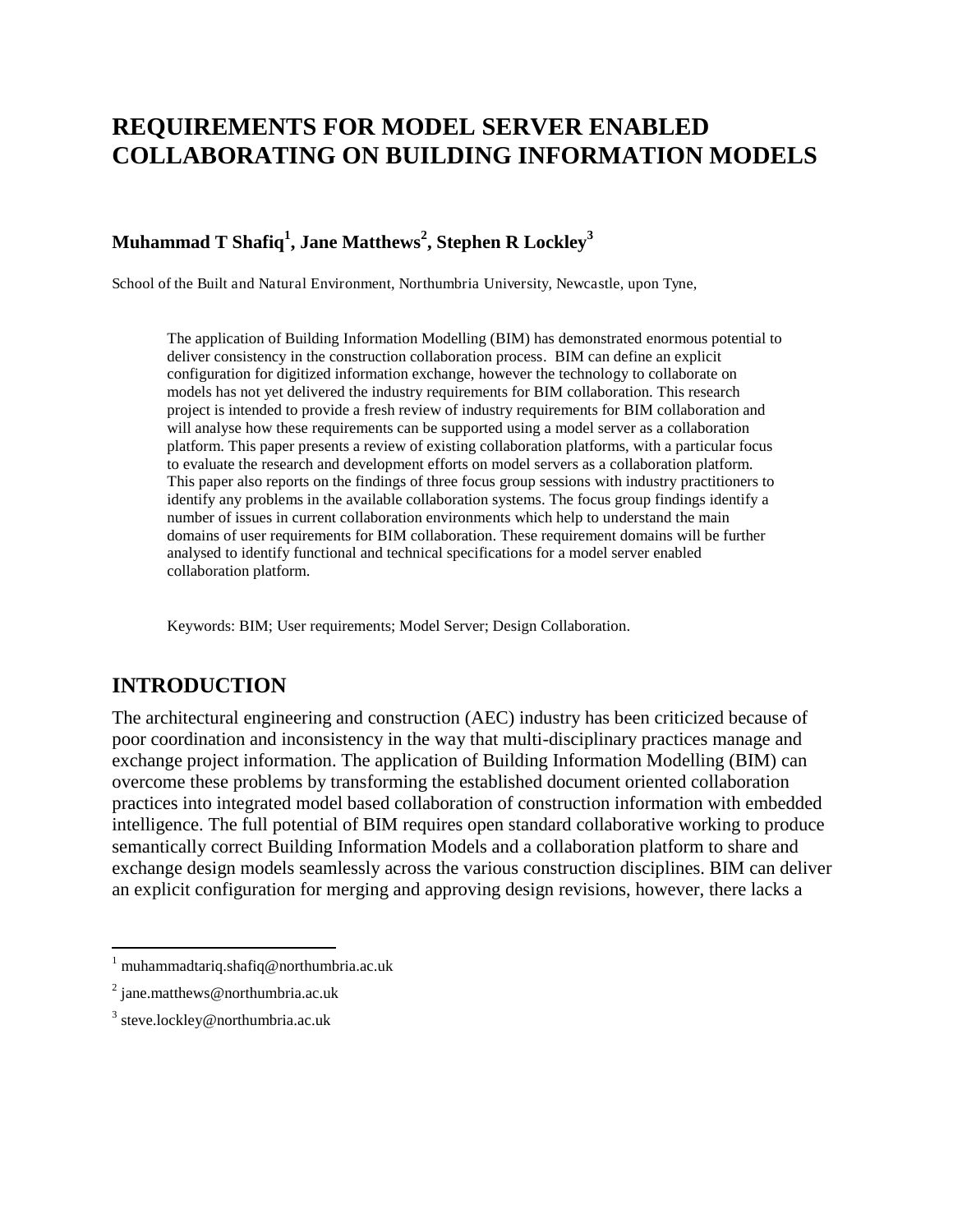# **REQUIREMENTS FOR MODEL SERVER ENABLED COLLABORATING ON BUILDING INFORMATION MODELS**

## **Muhammad T Shafiq<sup>1</sup> , Jane Matthews<sup>2</sup> , Stephen R Lockley<sup>3</sup>**

School of the Built and Natural Environment, Northumbria University, Newcastle, upon Tyne,

The application of Building Information Modelling (BIM) has demonstrated enormous potential to deliver consistency in the construction collaboration process. BIM can define an explicit configuration for digitized information exchange, however the technology to collaborate on models has not yet delivered the industry requirements for BIM collaboration. This research project is intended to provide a fresh review of industry requirements for BIM collaboration and will analyse how these requirements can be supported using a model server as a collaboration platform. This paper presents a review of existing collaboration platforms, with a particular focus to evaluate the research and development efforts on model servers as a collaboration platform. This paper also reports on the findings of three focus group sessions with industry practitioners to identify any problems in the available collaboration systems. The focus group findings identify a number of issues in current collaboration environments which help to understand the main domains of user requirements for BIM collaboration. These requirement domains will be further analysed to identify functional and technical specifications for a model server enabled collaboration platform.

Keywords: BIM; User requirements; Model Server; Design Collaboration.

## **INTRODUCTION**

The architectural engineering and construction (AEC) industry has been criticized because of poor coordination and inconsistency in the way that multi-disciplinary practices manage and exchange project information. The application of Building Information Modelling (BIM) can overcome these problems by transforming the established document oriented collaboration practices into integrated model based collaboration of construction information with embedded intelligence. The full potential of BIM requires open standard collaborative working to produce semantically correct Building Information Models and a collaboration platform to share and exchange design models seamlessly across the various construction disciplines. BIM can deliver an explicit configuration for merging and approving design revisions, however, there lacks a

 $\overline{a}$ 

<sup>1</sup> muhammadtariq.shafiq@northumbria.ac.uk

 $2$  jane.matthews@northumbria.ac.uk

<sup>&</sup>lt;sup>3</sup> steve.lockley@northumbria.ac.uk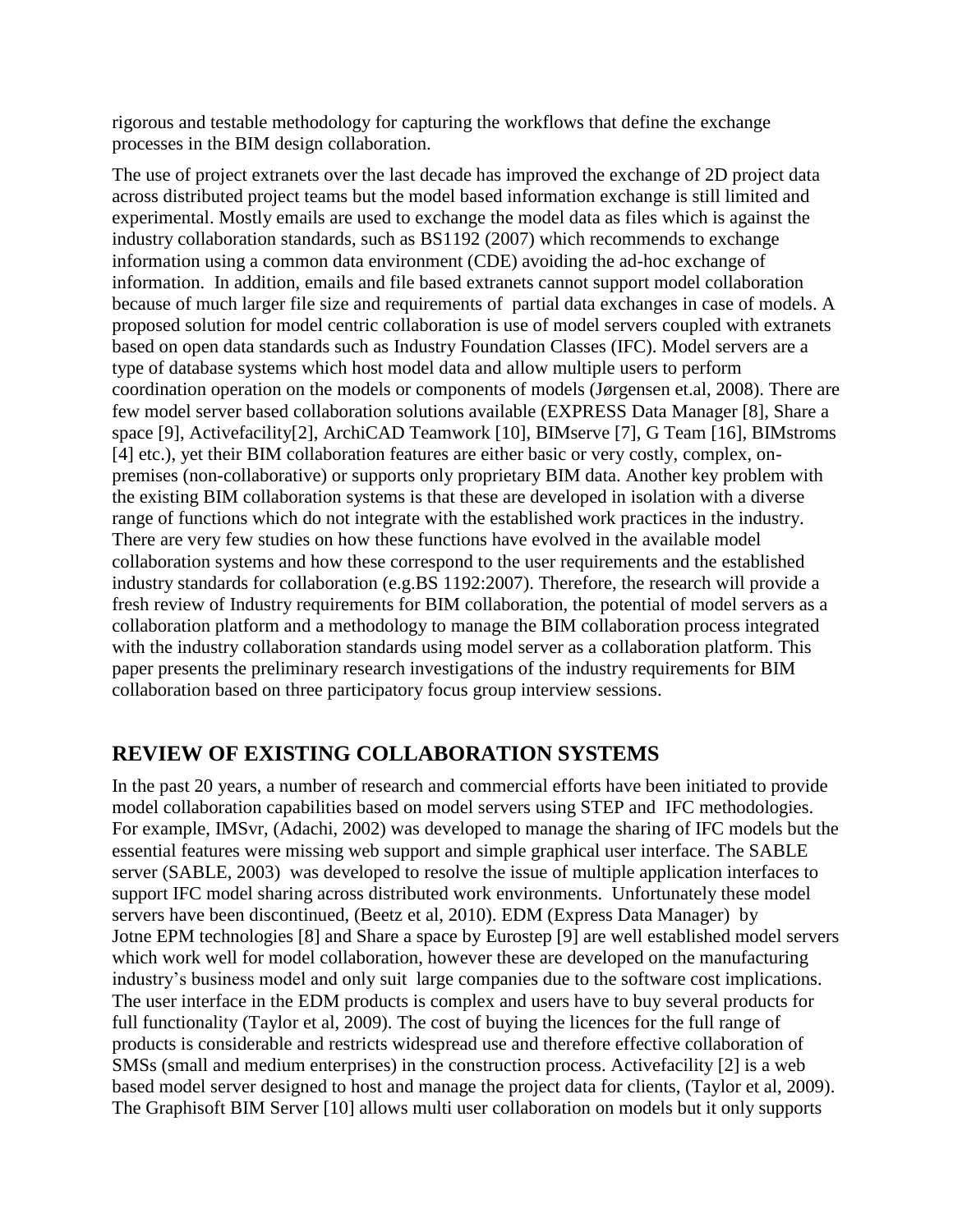rigorous and testable methodology for capturing the workflows that define the exchange processes in the BIM design collaboration.

The use of project extranets over the last decade has improved the exchange of 2D project data across distributed project teams but the model based information exchange is still limited and experimental. Mostly emails are used to exchange the model data as files which is against the industry collaboration standards, such as BS1192 (2007) which recommends to exchange information using a common data environment (CDE) avoiding the ad-hoc exchange of information. In addition, emails and file based extranets cannot support model collaboration because of much larger file size and requirements of partial data exchanges in case of models. A proposed solution for model centric collaboration is use of model servers coupled with extranets based on open data standards such as Industry Foundation Classes (IFC). Model servers are a type of database systems which host model data and allow multiple users to perform coordination operation on the models or components of models (Jørgensen et.al, 2008). There are few model server based collaboration solutions available (EXPRESS Data Manager [8], Share a space [9], Activefacility[2], ArchiCAD Teamwork [10], BIMserve [7], G Team [16], BIMstroms [4] etc.), yet their BIM collaboration features are either basic or very costly, complex, onpremises (non-collaborative) or supports only proprietary BIM data. Another key problem with the existing BIM collaboration systems is that these are developed in isolation with a diverse range of functions which do not integrate with the established work practices in the industry. There are very few studies on how these functions have evolved in the available model collaboration systems and how these correspond to the user requirements and the established industry standards for collaboration (e.g.BS 1192:2007). Therefore, the research will provide a fresh review of Industry requirements for BIM collaboration, the potential of model servers as a collaboration platform and a methodology to manage the BIM collaboration process integrated with the industry collaboration standards using model server as a collaboration platform. This paper presents the preliminary research investigations of the industry requirements for BIM collaboration based on three participatory focus group interview sessions.

# **REVIEW OF EXISTING COLLABORATION SYSTEMS**

In the past 20 years, a number of research and commercial efforts have been initiated to provide model collaboration capabilities based on model servers using STEP and IFC methodologies. For example, IMSvr, (Adachi, 2002) was developed to manage the sharing of IFC models but the essential features were missing web support and simple graphical user interface. The SABLE server (SABLE, 2003) was developed to resolve the issue of multiple application interfaces to support IFC model sharing across distributed work environments. Unfortunately these model servers have been discontinued, (Beetz et al, 2010). EDM (Express Data Manager) by Jotne EPM technologies [8] and Share a space by Eurostep [9] are well established model servers which work well for model collaboration, however these are developed on the manufacturing industry"s business model and only suit large companies due to the software cost implications. The user interface in the EDM products is complex and users have to buy several products for full functionality (Taylor et al, 2009). The cost of buying the licences for the full range of products is considerable and restricts widespread use and therefore effective collaboration of SMSs (small and medium enterprises) in the construction process. Activefacility [2] is a web based model server designed to host and manage the project data for clients, (Taylor et al, 2009). The Graphisoft BIM Server [10] allows multi user collaboration on models but it only supports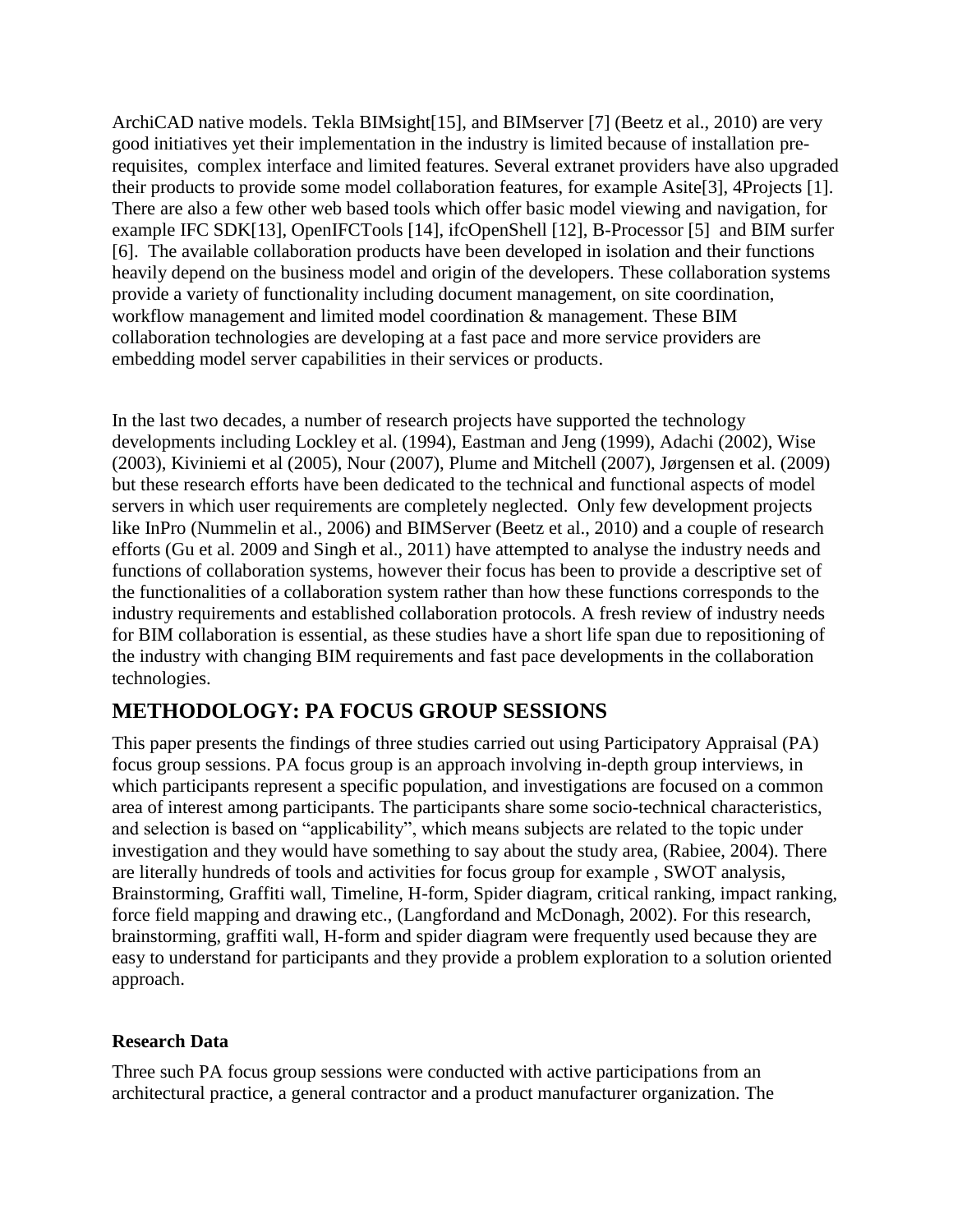ArchiCAD native models. Tekla BIMsight[15], and BIMserver [7] (Beetz et al., 2010) are very good initiatives yet their implementation in the industry is limited because of installation prerequisites, complex interface and limited features. Several extranet providers have also upgraded their products to provide some model collaboration features, for example Asite[3], 4Projects [1]. There are also a few other web based tools which offer basic model viewing and navigation, for example IFC SDK[13], OpenIFCTools [14], ifcOpenShell [12], B-Processor [5] and BIM surfer [6]. The available collaboration products have been developed in isolation and their functions heavily depend on the business model and origin of the developers. These collaboration systems provide a variety of functionality including document management, on site coordination, workflow management and limited model coordination & management. These BIM collaboration technologies are developing at a fast pace and more service providers are embedding model server capabilities in their services or products.

In the last two decades, a number of research projects have supported the technology developments including Lockley et al. (1994), Eastman and Jeng (1999), Adachi (2002), Wise (2003), Kiviniemi et al (2005), Nour (2007), Plume and Mitchell (2007), Jørgensen et al. (2009) but these research efforts have been dedicated to the technical and functional aspects of model servers in which user requirements are completely neglected. Only few development projects like InPro (Nummelin et al., 2006) and BIMServer (Beetz et al., 2010) and a couple of research efforts (Gu et al. 2009 and Singh et al., 2011) have attempted to analyse the industry needs and functions of collaboration systems, however their focus has been to provide a descriptive set of the functionalities of a collaboration system rather than how these functions corresponds to the industry requirements and established collaboration protocols. A fresh review of industry needs for BIM collaboration is essential, as these studies have a short life span due to repositioning of the industry with changing BIM requirements and fast pace developments in the collaboration technologies.

# **METHODOLOGY: PA FOCUS GROUP SESSIONS**

This paper presents the findings of three studies carried out using Participatory Appraisal (PA) focus group sessions. PA focus group is an approach involving in-depth group interviews, in which participants represent a specific population, and investigations are focused on a common area of interest among participants. The participants share some socio-technical characteristics, and selection is based on "applicability", which means subjects are related to the topic under investigation and they would have something to say about the study area, (Rabiee, 2004). There are literally hundreds of tools and activities for focus group for example , SWOT analysis, Brainstorming, Graffiti wall, Timeline, H-form, Spider diagram, critical ranking, impact ranking, force field mapping and drawing etc.[, \(Langforda](http://www.google.co.uk/search?tbo=p&tbm=bks&q=inauthor:%22Joseph+D.+Langford%22)nd and [McDonagh,](http://www.google.co.uk/search?tbo=p&tbm=bks&q=inauthor:%22Deana+McDonagh%22) 2002). For this research, brainstorming, graffiti wall, H-form and spider diagram were frequently used because they are easy to understand for participants and they provide a problem exploration to a solution oriented approach.

## **Research Data**

Three such PA focus group sessions were conducted with active participations from an architectural practice, a general contractor and a product manufacturer organization. The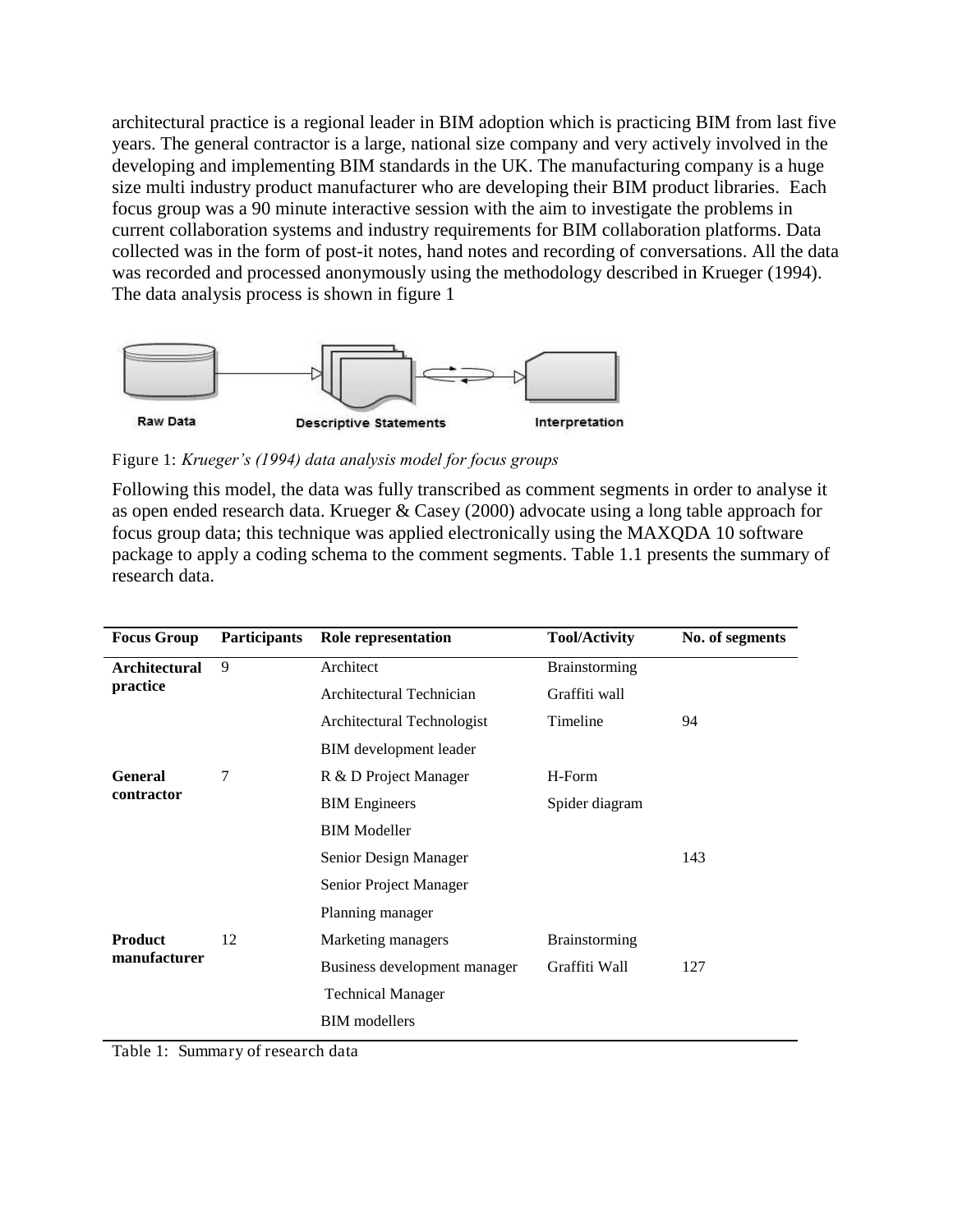architectural practice is a regional leader in BIM adoption which is practicing BIM from last five years. The general contractor is a large, national size company and very actively involved in the developing and implementing BIM standards in the UK. The manufacturing company is a huge size multi industry product manufacturer who are developing their BIM product libraries. Each focus group was a 90 minute interactive session with the aim to investigate the problems in current collaboration systems and industry requirements for BIM collaboration platforms. Data collected was in the form of post-it notes, hand notes and recording of conversations. All the data was recorded and processed anonymously using the methodology described in Krueger (1994). The data analysis process is shown in figure 1



Figure 1: *Krueger's (1994) data analysis model for focus groups*

Following this model, the data was fully transcribed as comment segments in order to analyse it as open ended research data. Krueger & Casey (2000) advocate using a long table approach for focus group data; this technique was applied electronically using the MAXQDA 10 software package to apply a coding schema to the comment segments. Table 1.1 presents the summary of research data.

| <b>Focus Group</b>               | <b>Participants</b> | Role representation           | <b>Tool/Activity</b> | No. of segments |
|----------------------------------|---------------------|-------------------------------|----------------------|-----------------|
| <b>Architectural</b><br>practice | 9                   | Architect                     | <b>Brainstorming</b> |                 |
|                                  |                     | Architectural Technician      | Graffiti wall        |                 |
|                                  |                     | Architectural Technologist    | Timeline             | 94              |
|                                  |                     | <b>BIM</b> development leader |                      |                 |
| <b>General</b><br>contractor     | 7                   | R & D Project Manager         | H-Form               |                 |
|                                  |                     | <b>BIM</b> Engineers          | Spider diagram       |                 |
|                                  |                     | <b>BIM</b> Modeller           |                      |                 |
|                                  |                     | Senior Design Manager         |                      | 143             |
|                                  |                     | Senior Project Manager        |                      |                 |
|                                  |                     | Planning manager              |                      |                 |
| <b>Product</b><br>manufacturer   | 12                  | Marketing managers            | <b>Brainstorming</b> |                 |
|                                  |                     | Business development manager  | Graffiti Wall        | 127             |
|                                  |                     | <b>Technical Manager</b>      |                      |                 |
|                                  |                     | <b>BIM</b> modellers          |                      |                 |

Table 1: Summary of research data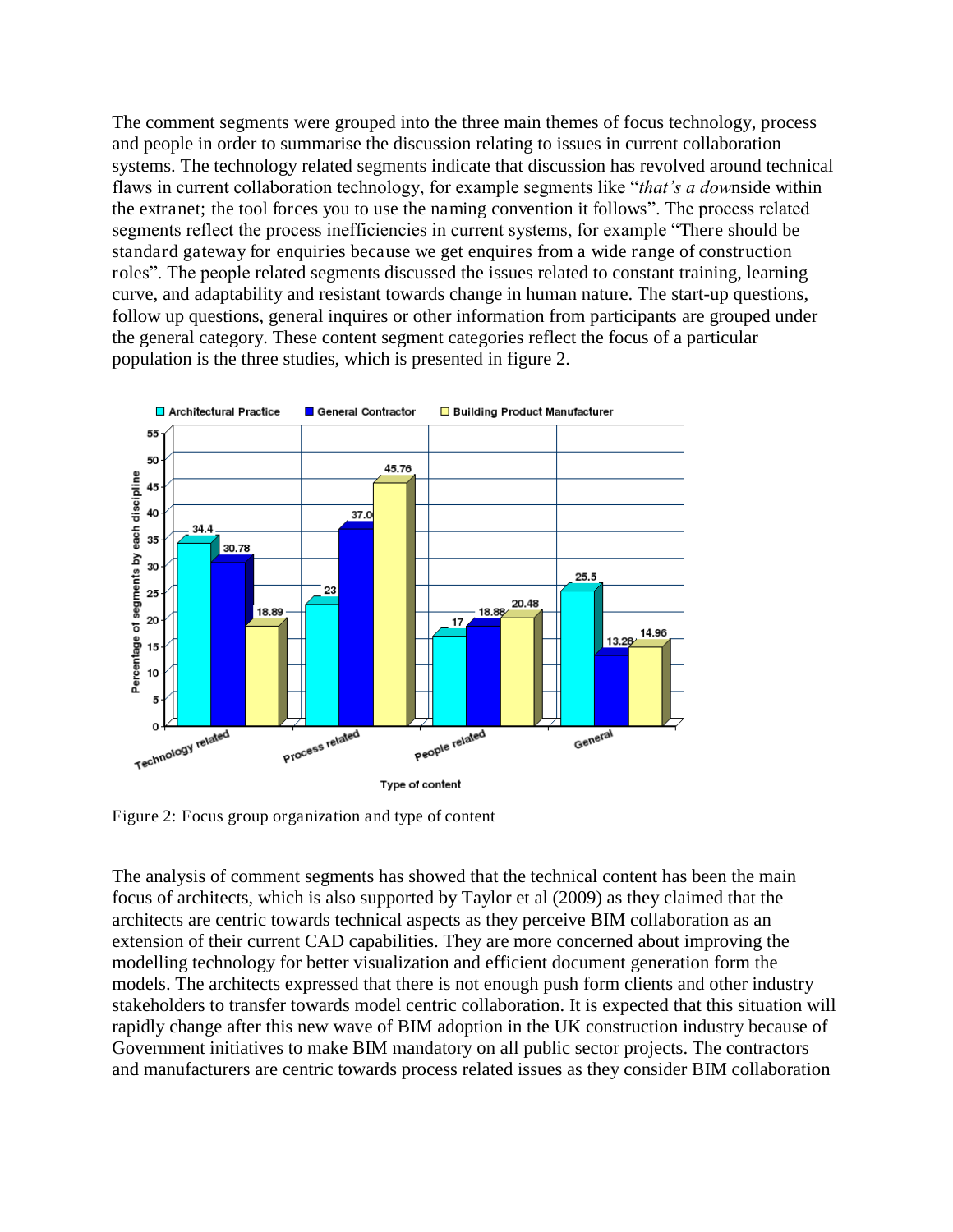The comment segments were grouped into the three main themes of focus technology, process and people in order to summarise the discussion relating to issues in current collaboration systems. The technology related segments indicate that discussion has revolved around technical flaws in current collaboration technology, for example segments like "*that's a dow*nside within the extranet; the tool forces you to use the naming convention it follows". The process related segments reflect the process inefficiencies in current systems, for example "There should be standard gateway for enquiries because we get enquires from a wide range of construction roles". The people related segments discussed the issues related to constant training, learning curve, and adaptability and resistant towards change in human nature. The start-up questions, follow up questions, general inquires or other information from participants are grouped under the general category. These content segment categories reflect the focus of a particular population is the three studies, which is presented in figure 2.



Figure 2: Focus group organization and type of content

The analysis of comment segments has showed that the technical content has been the main focus of architects, which is also supported by Taylor et al (2009) as they claimed that the architects are centric towards technical aspects as they perceive BIM collaboration as an extension of their current CAD capabilities. They are more concerned about improving the modelling technology for better visualization and efficient document generation form the models. The architects expressed that there is not enough push form clients and other industry stakeholders to transfer towards model centric collaboration. It is expected that this situation will rapidly change after this new wave of BIM adoption in the UK construction industry because of Government initiatives to make BIM mandatory on all public sector projects. The contractors and manufacturers are centric towards process related issues as they consider BIM collaboration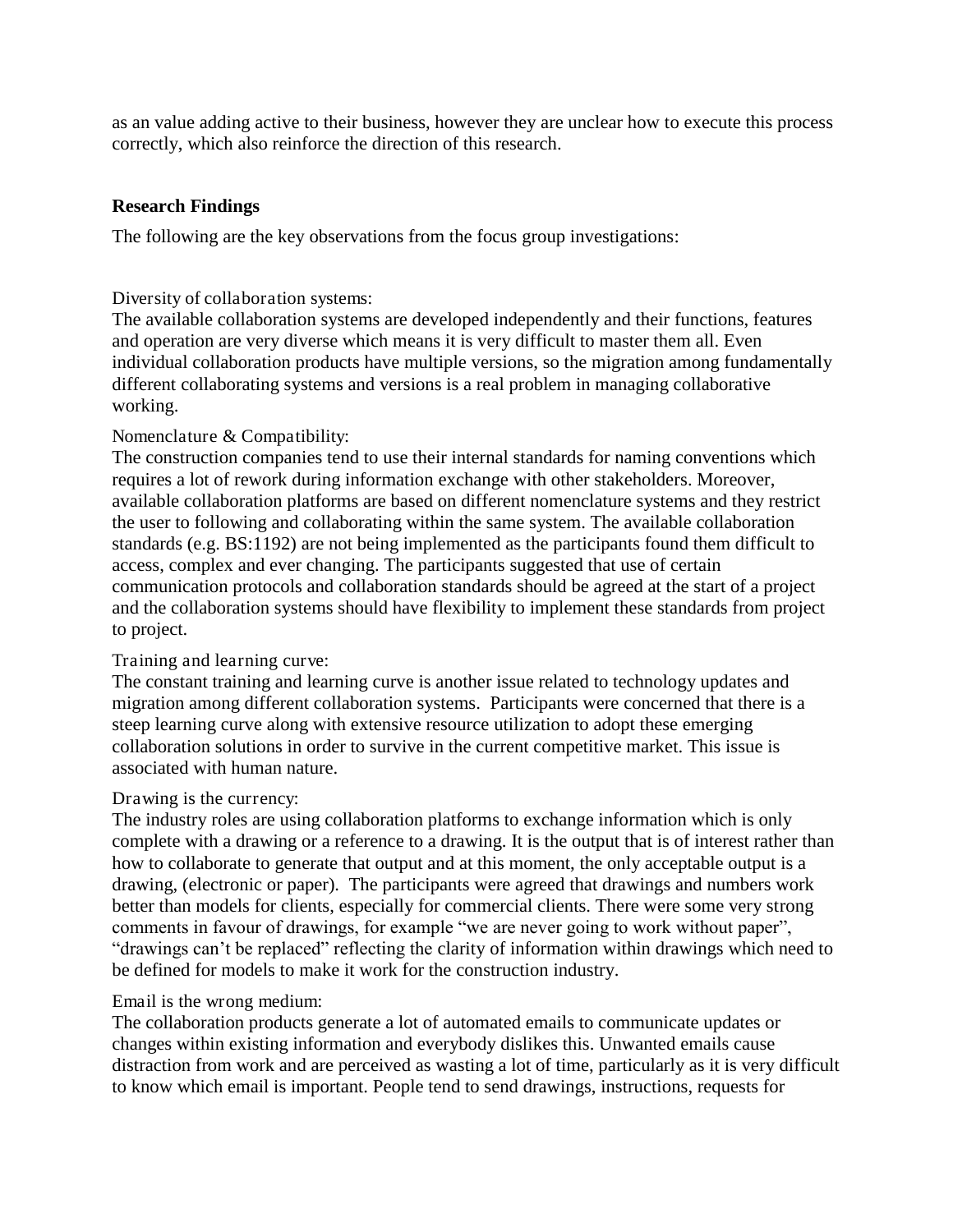as an value adding active to their business, however they are unclear how to execute this process correctly, which also reinforce the direction of this research.

#### **Research Findings**

The following are the key observations from the focus group investigations:

#### Diversity of collaboration systems:

The available collaboration systems are developed independently and their functions, features and operation are very diverse which means it is very difficult to master them all. Even individual collaboration products have multiple versions, so the migration among fundamentally different collaborating systems and versions is a real problem in managing collaborative working.

#### Nomenclature & Compatibility:

The construction companies tend to use their internal standards for naming conventions which requires a lot of rework during information exchange with other stakeholders. Moreover, available collaboration platforms are based on different nomenclature systems and they restrict the user to following and collaborating within the same system. The available collaboration standards (e.g. BS:1192) are not being implemented as the participants found them difficult to access, complex and ever changing. The participants suggested that use of certain communication protocols and collaboration standards should be agreed at the start of a project and the collaboration systems should have flexibility to implement these standards from project to project.

## Training and learning curve:

The constant training and learning curve is another issue related to technology updates and migration among different collaboration systems. Participants were concerned that there is a steep learning curve along with extensive resource utilization to adopt these emerging collaboration solutions in order to survive in the current competitive market. This issue is associated with human nature.

#### Drawing is the currency:

The industry roles are using collaboration platforms to exchange information which is only complete with a drawing or a reference to a drawing. It is the output that is of interest rather than how to collaborate to generate that output and at this moment, the only acceptable output is a drawing, (electronic or paper). The participants were agreed that drawings and numbers work better than models for clients, especially for commercial clients. There were some very strong comments in favour of drawings, for example "we are never going to work without paper", "drawings can"t be replaced" reflecting the clarity of information within drawings which need to be defined for models to make it work for the construction industry.

## Email is the wrong medium:

The collaboration products generate a lot of automated emails to communicate updates or changes within existing information and everybody dislikes this. Unwanted emails cause distraction from work and are perceived as wasting a lot of time, particularly as it is very difficult to know which email is important. People tend to send drawings, instructions, requests for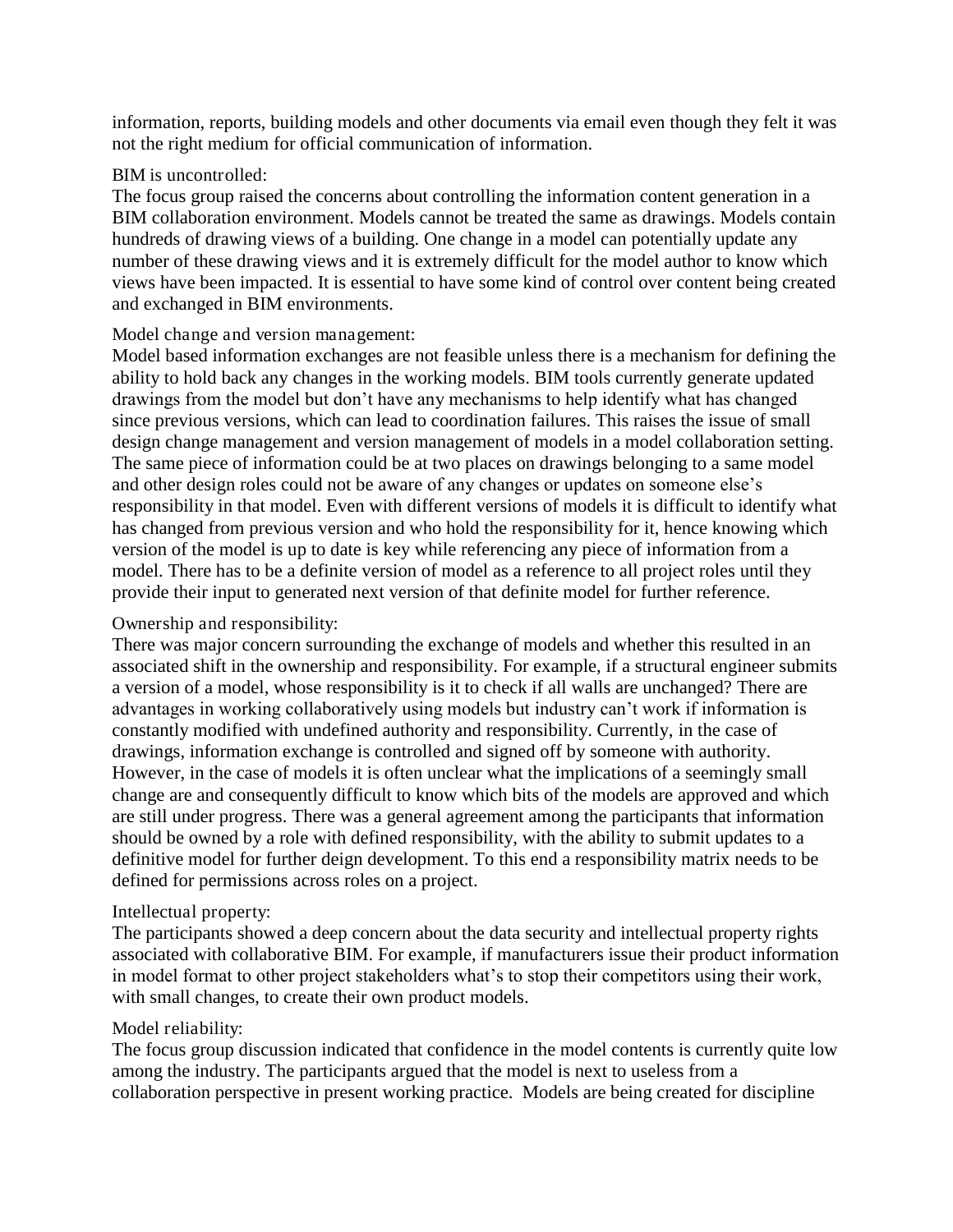information, reports, building models and other documents via email even though they felt it was not the right medium for official communication of information.

#### BIM is uncontrolled:

The focus group raised the concerns about controlling the information content generation in a BIM collaboration environment. Models cannot be treated the same as drawings. Models contain hundreds of drawing views of a building. One change in a model can potentially update any number of these drawing views and it is extremely difficult for the model author to know which views have been impacted. It is essential to have some kind of control over content being created and exchanged in BIM environments.

#### Model change and version management:

Model based information exchanges are not feasible unless there is a mechanism for defining the ability to hold back any changes in the working models. BIM tools currently generate updated drawings from the model but don"t have any mechanisms to help identify what has changed since previous versions, which can lead to coordination failures. This raises the issue of small design change management and version management of models in a model collaboration setting. The same piece of information could be at two places on drawings belonging to a same model and other design roles could not be aware of any changes or updates on someone else"s responsibility in that model. Even with different versions of models it is difficult to identify what has changed from previous version and who hold the responsibility for it, hence knowing which version of the model is up to date is key while referencing any piece of information from a model. There has to be a definite version of model as a reference to all project roles until they provide their input to generated next version of that definite model for further reference.

## Ownership and responsibility:

There was major concern surrounding the exchange of models and whether this resulted in an associated shift in the ownership and responsibility. For example, if a structural engineer submits a version of a model, whose responsibility is it to check if all walls are unchanged? There are advantages in working collaboratively using models but industry can"t work if information is constantly modified with undefined authority and responsibility. Currently, in the case of drawings, information exchange is controlled and signed off by someone with authority. However, in the case of models it is often unclear what the implications of a seemingly small change are and consequently difficult to know which bits of the models are approved and which are still under progress. There was a general agreement among the participants that information should be owned by a role with defined responsibility, with the ability to submit updates to a definitive model for further deign development. To this end a responsibility matrix needs to be defined for permissions across roles on a project.

#### Intellectual property:

The participants showed a deep concern about the data security and intellectual property rights associated with collaborative BIM. For example, if manufacturers issue their product information in model format to other project stakeholders what's to stop their competitors using their work, with small changes, to create their own product models.

#### Model reliability:

The focus group discussion indicated that confidence in the model contents is currently quite low among the industry. The participants argued that the model is next to useless from a collaboration perspective in present working practice. Models are being created for discipline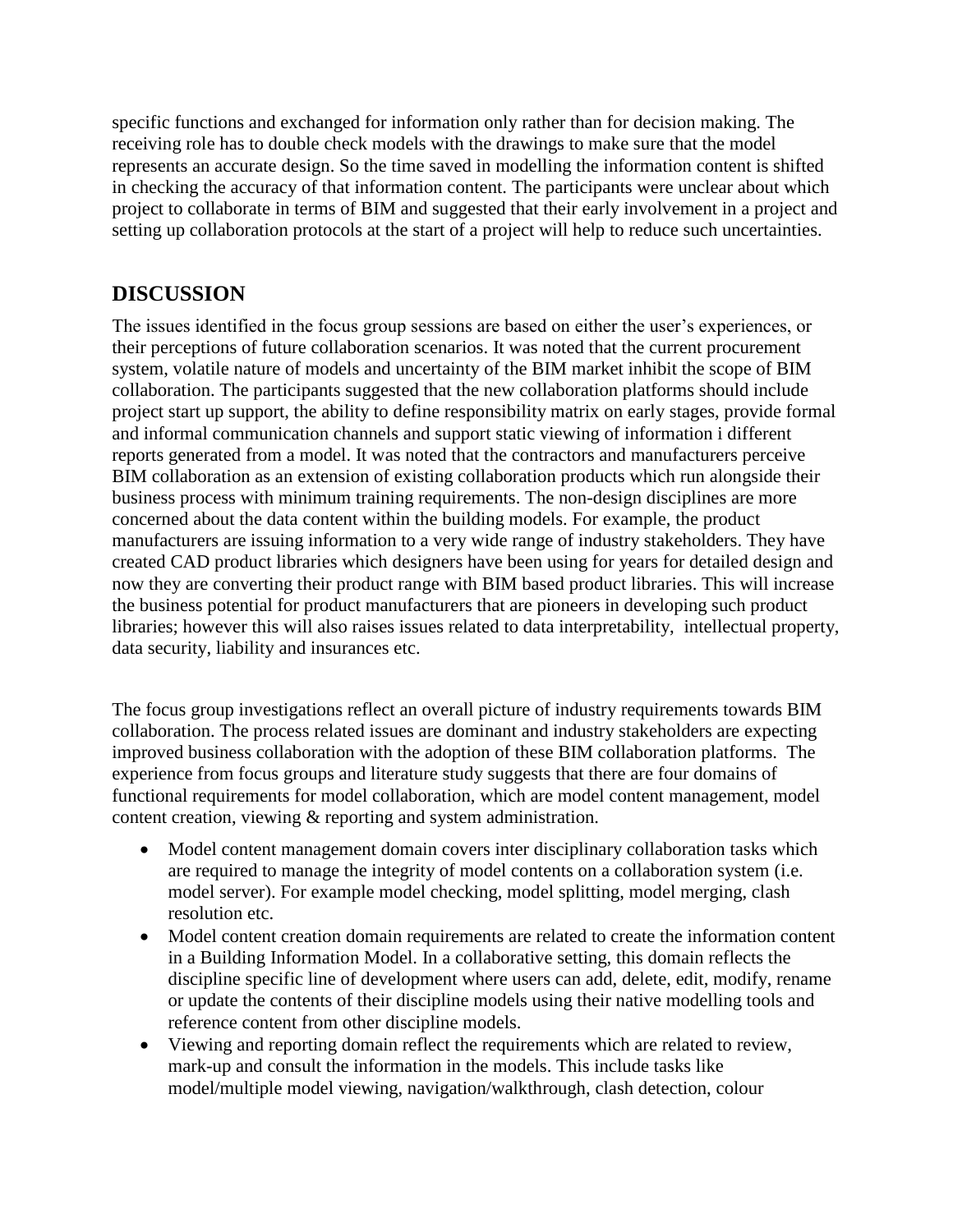specific functions and exchanged for information only rather than for decision making. The receiving role has to double check models with the drawings to make sure that the model represents an accurate design. So the time saved in modelling the information content is shifted in checking the accuracy of that information content. The participants were unclear about which project to collaborate in terms of BIM and suggested that their early involvement in a project and setting up collaboration protocols at the start of a project will help to reduce such uncertainties.

# **DISCUSSION**

The issues identified in the focus group sessions are based on either the user"s experiences, or their perceptions of future collaboration scenarios. It was noted that the current procurement system, volatile nature of models and uncertainty of the BIM market inhibit the scope of BIM collaboration. The participants suggested that the new collaboration platforms should include project start up support, the ability to define responsibility matrix on early stages, provide formal and informal communication channels and support static viewing of information i different reports generated from a model. It was noted that the contractors and manufacturers perceive BIM collaboration as an extension of existing collaboration products which run alongside their business process with minimum training requirements. The non-design disciplines are more concerned about the data content within the building models. For example, the product manufacturers are issuing information to a very wide range of industry stakeholders. They have created CAD product libraries which designers have been using for years for detailed design and now they are converting their product range with BIM based product libraries. This will increase the business potential for product manufacturers that are pioneers in developing such product libraries; however this will also raises issues related to data interpretability, intellectual property, data security, liability and insurances etc.

The focus group investigations reflect an overall picture of industry requirements towards BIM collaboration. The process related issues are dominant and industry stakeholders are expecting improved business collaboration with the adoption of these BIM collaboration platforms. The experience from focus groups and literature study suggests that there are four domains of functional requirements for model collaboration, which are model content management, model content creation, viewing & reporting and system administration.

- Model content management domain covers inter disciplinary collaboration tasks which are required to manage the integrity of model contents on a collaboration system (i.e. model server). For example model checking, model splitting, model merging, clash resolution etc.
- Model content creation domain requirements are related to create the information content in a Building Information Model. In a collaborative setting, this domain reflects the discipline specific line of development where users can add, delete, edit, modify, rename or update the contents of their discipline models using their native modelling tools and reference content from other discipline models.
- Viewing and reporting domain reflect the requirements which are related to review, mark-up and consult the information in the models. This include tasks like model/multiple model viewing, navigation/walkthrough, clash detection, colour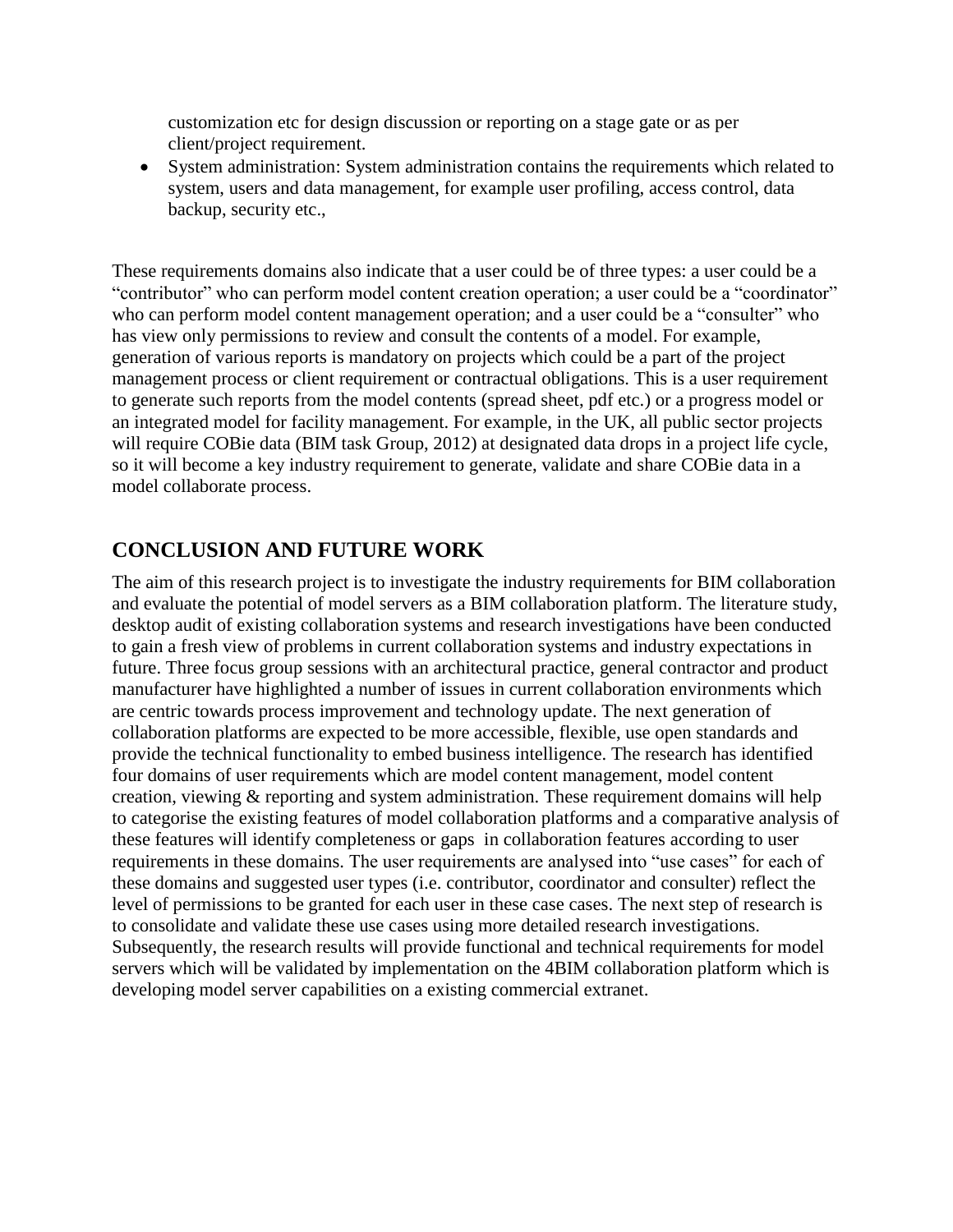customization etc for design discussion or reporting on a stage gate or as per client/project requirement.

 System administration: System administration contains the requirements which related to system, users and data management, for example user profiling, access control, data backup, security etc.,

These requirements domains also indicate that a user could be of three types: a user could be a "contributor" who can perform model content creation operation; a user could be a "coordinator" who can perform model content management operation; and a user could be a "consulter" who has view only permissions to review and consult the contents of a model. For example, generation of various reports is mandatory on projects which could be a part of the project management process or client requirement or contractual obligations. This is a user requirement to generate such reports from the model contents (spread sheet, pdf etc.) or a progress model or an integrated model for facility management. For example, in the UK, all public sector projects will require COBie data (BIM task Group, 2012) at designated data drops in a project life cycle, so it will become a key industry requirement to generate, validate and share COBie data in a model collaborate process.

## **CONCLUSION AND FUTURE WORK**

The aim of this research project is to investigate the industry requirements for BIM collaboration and evaluate the potential of model servers as a BIM collaboration platform. The literature study, desktop audit of existing collaboration systems and research investigations have been conducted to gain a fresh view of problems in current collaboration systems and industry expectations in future. Three focus group sessions with an architectural practice, general contractor and product manufacturer have highlighted a number of issues in current collaboration environments which are centric towards process improvement and technology update. The next generation of collaboration platforms are expected to be more accessible, flexible, use open standards and provide the technical functionality to embed business intelligence. The research has identified four domains of user requirements which are model content management, model content creation, viewing & reporting and system administration. These requirement domains will help to categorise the existing features of model collaboration platforms and a comparative analysis of these features will identify completeness or gaps in collaboration features according to user requirements in these domains. The user requirements are analysed into "use cases" for each of these domains and suggested user types (i.e. contributor, coordinator and consulter) reflect the level of permissions to be granted for each user in these case cases. The next step of research is to consolidate and validate these use cases using more detailed research investigations. Subsequently, the research results will provide functional and technical requirements for model servers which will be validated by implementation on the 4BIM collaboration platform which is developing model server capabilities on a existing commercial extranet.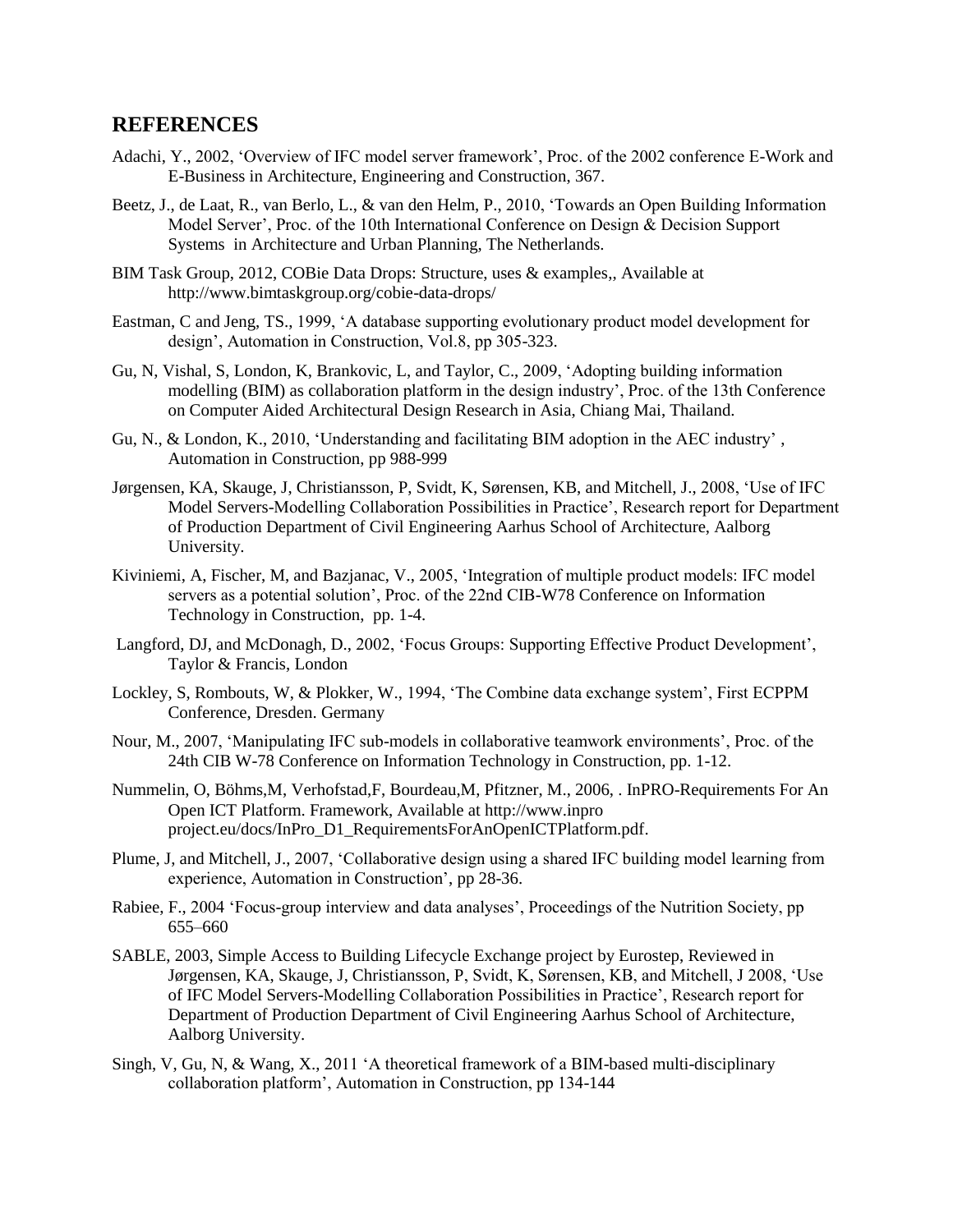#### **REFERENCES**

- Adachi, Y., 2002, "Overview of IFC model server framework", Proc. of the 2002 conference E-Work and E-Business in Architecture, Engineering and Construction, 367.
- Beetz, J., de Laat, R., van Berlo, L., & van den Helm, P., 2010, "Towards an Open Building Information Model Server", Proc. of the 10th International Conference on Design & Decision Support Systems in Architecture and Urban Planning, The Netherlands.
- BIM Task Group, 2012, COBie Data Drops: Structure, uses & examples,, Available at <http://www.bimtaskgroup.org/cobie-data-drops/>
- Eastman, C and Jeng, TS., 1999, "A database supporting evolutionary product model development for design", Automation in Construction, Vol.8, pp 305-323.
- Gu, N, Vishal, S, London, K, Brankovic, L, and Taylor, C., 2009, "Adopting building information modelling (BIM) as collaboration platform in the design industry", Proc. of the 13th Conference on Computer Aided Architectural Design Research in Asia, Chiang Mai, Thailand.
- Gu, N., & London, K., 2010, "Understanding and facilitating BIM adoption in the AEC industry" , Automation in Construction, pp 988-999
- Jørgensen, KA, Skauge, J, Christiansson, P, Svidt, K, Sørensen, KB, and Mitchell, J., 2008, "Use of IFC Model Servers-Modelling Collaboration Possibilities in Practice", Research report for Department of Production Department of Civil Engineering Aarhus School of Architecture, Aalborg University.
- Kiviniemi, A, Fischer, M, and Bazjanac, V., 2005, "Integration of multiple product models: IFC model servers as a potential solution", Proc. of the 22nd CIB-W78 Conference on Information Technology in Construction, pp. 1-4.
- [Langford,](http://www.google.co.uk/search?tbo=p&tbm=bks&q=inauthor:%22Joseph+D.+Langford%22) DJ, and [McDonagh,](http://www.google.co.uk/search?tbo=p&tbm=bks&q=inauthor:%22Deana+McDonagh%22) D., 2002, "Focus Groups: Supporting Effective Product Development", Taylor & Francis, London
- Lockley, S, Rombouts, W, & Plokker, W., 1994, "The Combine data exchange system", First ECPPM Conference, Dresden. Germany
- Nour, M., 2007, "Manipulating IFC sub-models in collaborative teamwork environments", Proc. of the 24th CIB W-78 Conference on Information Technology in Construction, pp. 1-12.
- Nummelin, O, Böhms,M, Verhofstad,F, Bourdeau,M, Pfitzner, M., 2006, . InPRO-Requirements For An Open ICT Platform. Framework, Available at http://www.inpro project.eu/docs/InPro\_D1\_RequirementsForAnOpenICTPlatform.pdf.
- Plume, J, and Mitchell, J., 2007, "Collaborative design using a shared IFC building model learning from experience, Automation in Construction', pp 28-36.
- Rabiee, F., 2004 "Focus-group interview and data analyses", Proceedings of the Nutrition Society, pp 655–660
- SABLE, 2003, Simple Access to Building Lifecycle Exchange project by Eurostep, Reviewed in Jørgensen, KA, Skauge, J, Christiansson, P, Svidt, K, Sørensen, KB, and Mitchell, J 2008, "Use of IFC Model Servers-Modelling Collaboration Possibilities in Practice", Research report for Department of Production Department of Civil Engineering Aarhus School of Architecture, Aalborg University.
- Singh, V, Gu, N, & Wang, X., 2011 "A theoretical framework of a BIM-based multi-disciplinary collaboration platform", Automation in Construction, pp 134-144